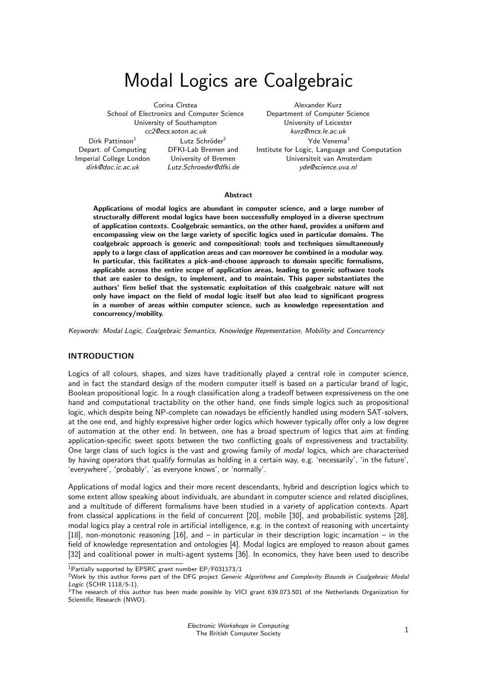# Modal Logics are Coalgebraic

Corina Cîrstea School of Electronics and Computer Science University of Southampton cc2@ecs.soton.ac.uk Dirk Pattinson<sup>1</sup>

Depart. of Computing Imperial College London dirk@doc.ic.ac.uk

Lutz Schröder<sup>2</sup> DFKI-Lab Bremen and University of Bremen Lutz.Schroeder@dfki.de

Alexander Kurz Department of Computer Science University of Leicester kurz@mcs.le.ac.uk Yde Venema<sup>3</sup> Institute for Logic, Language and Computation Universiteit van Amsterdam yde@science.uva.nl

#### Abstract

Applications of modal logics are abundant in computer science, and a large number of structurally different modal logics have been successfully employed in a diverse spectrum of application contexts. Coalgebraic semantics, on the other hand, provides a uniform and encompassing view on the large variety of specific logics used in particular domains. The coalgebraic approach is generic and compositional: tools and techniques simultaneously apply to a large class of application areas and can moreover be combined in a modular way. In particular, this facilitates a pick-and-choose approach to domain specific formalisms, applicable across the entire scope of application areas, leading to generic software tools that are easier to design, to implement, and to maintain. This paper substantiates the authors' firm belief that the systematic exploitation of this coalgebraic nature will not only have impact on the field of modal logic itself but also lead to significant progress in a number of areas within computer science, such as knowledge representation and concurrency/mobility.

Keywords: Modal Logic, Coalgebraic Semantics, Knowledge Representation, Mobility and Concurrency

## INTRODUCTION

Logics of all colours, shapes, and sizes have traditionally played a central role in computer science, and in fact the standard design of the modern computer itself is based on a particular brand of logic, Boolean propositional logic. In a rough classification along a tradeoff between expressiveness on the one hand and computational tractability on the other hand, one finds simple logics such as propositional logic, which despite being NP-complete can nowadays be efficiently handled using modern SAT-solvers, at the one end, and highly expressive higher order logics which however typically offer only a low degree of automation at the other end. In between, one has a broad spectrum of logics that aim at finding application-specific sweet spots between the two conflicting goals of expressiveness and tractability. One large class of such logics is the vast and growing family of modal logics, which are characterised by having operators that qualify formulas as holding in a certain way, e.g. 'necessarily', 'in the future', 'everywhere', 'probably', 'as everyone knows', or 'normally'.

Applications of modal logics and their more recent descendants, hybrid and description logics which to some extent allow speaking about individuals, are abundant in computer science and related disciplines, and a multitude of different formalisms have been studied in a variety of application contexts. Apart from classical applications in the field of concurrent [20], mobile [30], and probabilistic systems [28], modal logics play a central role in artificial intelligence, e.g. in the context of reasoning with uncertainty [18], non-monotonic reasoning [16], and – in particular in their description logic incarnation – in the field of knowledge representation and ontologies [4]. Modal logics are employed to reason about games [32] and coalitional power in multi-agent systems [36]. In economics, they have been used to describe

<sup>&</sup>lt;sup>1</sup>Partially supported by EPSRC grant number EP/F031173/1

<sup>&</sup>lt;sup>2</sup>Work by this author forms part of the DFG project Generic Algorithms and Complexity Bounds in Coalgebraic Modal Logic (SCHR 1118/5-1).

<sup>&</sup>lt;sup>3</sup>The research of this author has been made possible by VICI grant 639.073.501 of the Netherlands Organization for Scientific Research (NWO).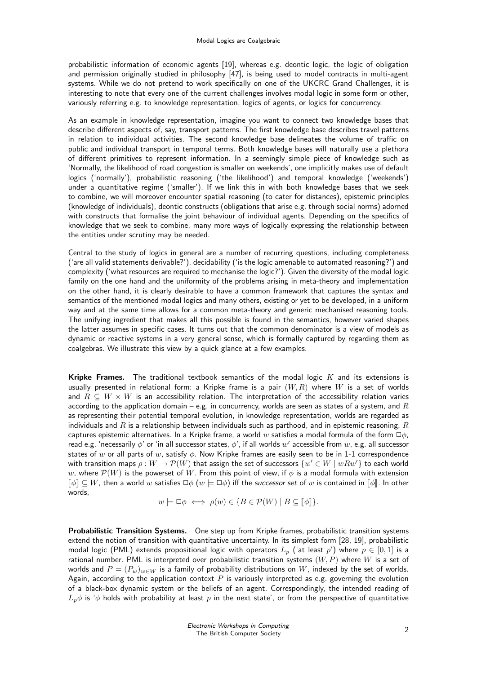probabilistic information of economic agents [19], whereas e.g. deontic logic, the logic of obligation and permission originally studied in philosophy [47], is being used to model contracts in multi-agent systems. While we do not pretend to work specifically on one of the UKCRC Grand Challenges, it is interesting to note that every one of the current challenges involves modal logic in some form or other, variously referring e.g. to knowledge representation, logics of agents, or logics for concurrency.

As an example in knowledge representation, imagine you want to connect two knowledge bases that describe different aspects of, say, transport patterns. The first knowledge base describes travel patterns in relation to individual activities. The second knowledge base delineates the volume of traffic on public and individual transport in temporal terms. Both knowledge bases will naturally use a plethora of different primitives to represent information. In a seemingly simple piece of knowledge such as 'Normally, the likelihood of road congestion is smaller on weekends', one implicitly makes use of default logics ('normally'), probabilistic reasoning ('the likelihood') and temporal knowledge ('weekends') under a quantitative regime ('smaller'). If we link this in with both knowledge bases that we seek to combine, we will moreover encounter spatial reasoning (to cater for distances), epistemic principles (knowledge of individuals), deontic constructs (obligations that arise e.g. through social norms) adorned with constructs that formalise the joint behaviour of individual agents. Depending on the specifics of knowledge that we seek to combine, many more ways of logically expressing the relationship between the entities under scrutiny may be needed.

Central to the study of logics in general are a number of recurring questions, including completeness ('are all valid statements derivable?'), decidability ('is the logic amenable to automated reasoning?') and complexity ('what resources are required to mechanise the logic?'). Given the diversity of the modal logic family on the one hand and the uniformity of the problems arising in meta-theory and implementation on the other hand, it is clearly desirable to have a common framework that captures the syntax and semantics of the mentioned modal logics and many others, existing or yet to be developed, in a uniform way and at the same time allows for a common meta-theory and generic mechanised reasoning tools. The unifying ingredient that makes all this possible is found in the semantics, however varied shapes the latter assumes in specific cases. It turns out that the common denominator is a view of models as dynamic or reactive systems in a very general sense, which is formally captured by regarding them as coalgebras. We illustrate this view by a quick glance at a few examples.

**Kripke Frames.** The traditional textbook semantics of the modal logic  $K$  and its extensions is usually presented in relational form: a Kripke frame is a pair  $(W, R)$  where W is a set of worlds and  $R \subseteq W \times W$  is an accessibility relation. The interpretation of the accessibility relation varies according to the application domain – e.g. in concurrency, worlds are seen as states of a system, and  $R$ as representing their potential temporal evolution, in knowledge representation, worlds are regarded as individuals and  $R$  is a relationship between individuals such as parthood, and in epistemic reasoning,  $R$ captures epistemic alternatives. In a Kripke frame, a world w satisfies a modal formula of the form  $\Box \phi$ , read e.g. 'necessarily  $\phi'$  or 'in all successor states,  $\phi'$ , if all worlds  $w'$  accessible from  $w$ , e.g. all successor states of w or all parts of w, satisfy  $\phi$ . Now Kripke frames are easily seen to be in 1-1 correspondence with transition maps  $\rho:W\to \mathcal{P}(W)$  that assign the set of successors  $\{w'\in W\;|\; wRw'\}$  to each world w, where  $\mathcal{P}(W)$  is the powerset of W. From this point of view, if  $\phi$  is a modal formula with extension  $\llbracket \phi \rrbracket \subseteq W$ , then a world w satisfies  $\Box \phi$  ( $w \models \Box \phi$ ) iff the *successor set* of w is contained in  $\llbracket \phi \rrbracket$ . In other words,

$$
w \models \Box \phi \iff \rho(w) \in \{B \in \mathcal{P}(W) \mid B \subseteq [\![\phi]\!]\}.
$$

Probabilistic Transition Systems. One step up from Kripke frames, probabilistic transition systems extend the notion of transition with quantitative uncertainty. In its simplest form [28, 19], probabilistic modal logic (PML) extends propositional logic with operators  $L_p$  ('at least p') where  $p \in [0,1]$  is a rational number. PML is interpreted over probabilistic transition systems  $(W, P)$  where  $W$  is a set of worlds and  $P = (P_w)_{w \in W}$  is a family of probability distributions on W, indexed by the set of worlds. Again, according to the application context  $P$  is variously interpreted as e.g. governing the evolution of a black-box dynamic system or the beliefs of an agent. Correspondingly, the intended reading of  $L_p\phi$  is ' $\phi$  holds with probability at least p in the next state', or from the perspective of quantitative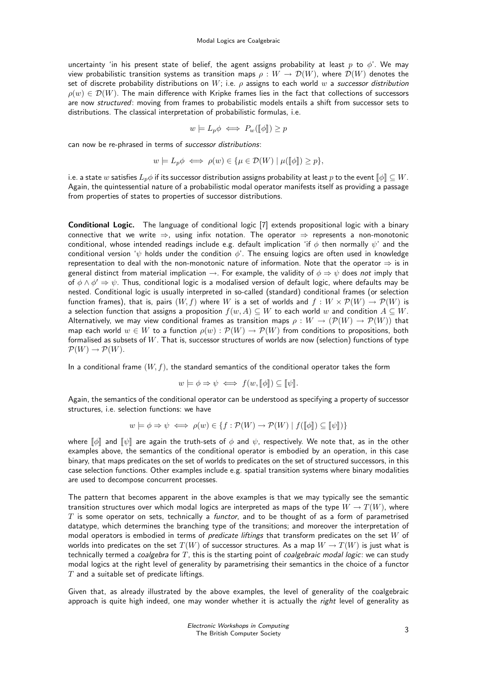uncertainty 'in his present state of belief, the agent assigns probability at least p to  $\phi'$ . We may view probabilistic transition systems as transition maps  $\rho: W \to \mathcal{D}(W)$ , where  $\mathcal{D}(W)$  denotes the set of discrete probability distributions on W; i.e.  $\rho$  assigns to each world w a successor distribution  $\rho(w) \in \mathcal{D}(W)$ . The main difference with Kripke frames lies in the fact that collections of successors are now structured: moving from frames to probabilistic models entails a shift from successor sets to distributions. The classical interpretation of probabilistic formulas, i.e.

$$
w \models L_p \phi \iff P_w([\![\phi]\!]) \geq p
$$

can now be re-phrased in terms of successor distributions:

$$
w \models L_p \phi \iff \rho(w) \in \{\mu \in \mathcal{D}(W) \mid \mu([\![\phi]\!]) \geq p\},\
$$

i.e. a state w satisfies  $L_n\phi$  if its successor distribution assigns probability at least p to the event  $\llbracket \phi \rrbracket \subseteq W$ . Again, the quintessential nature of a probabilistic modal operator manifests itself as providing a passage from properties of states to properties of successor distributions.

Conditional Logic. The language of conditional logic [7] extends propositional logic with a binary connective that we write ⇒, using infix notation. The operator ⇒ represents a non-monotonic conditional, whose intended readings include e.g. default implication 'if  $\phi$  then normally  $\psi'$  and the conditional version ' $\psi$  holds under the condition  $\phi'$ . The ensuing logics are often used in knowledge representation to deal with the non-monotonic nature of information. Note that the operator  $\Rightarrow$  is in general distinct from material implication  $\rightarrow$ . For example, the validity of  $\phi \Rightarrow \psi$  does not imply that of  $\phi \land \phi' \Rightarrow \psi$ . Thus, conditional logic is a modalised version of default logic, where defaults may be nested. Conditional logic is usually interpreted in so-called (standard) conditional frames (or selection function frames), that is, pairs  $(W, f)$  where W is a set of worlds and  $f : W \times \mathcal{P}(W) \to \mathcal{P}(W)$  is a selection function that assigns a proposition  $f(w, A) \subseteq W$  to each world w and condition  $A \subseteq W$ . Alternatively, we may view conditional frames as transition maps  $\rho: W \to (\mathcal{P}(W) \to \mathcal{P}(W))$  that map each world  $w \in W$  to a function  $\rho(w): \mathcal{P}(W) \to \mathcal{P}(W)$  from conditions to propositions, both formalised as subsets of  $W$ . That is, successor structures of worlds are now (selection) functions of type  $\mathcal{P}(W) \rightarrow \mathcal{P}(W)$ .

In a conditional frame  $(W, f)$ , the standard semantics of the conditional operator takes the form

$$
w \models \phi \Rightarrow \psi \iff f(w, [\![\phi]\!]) \subseteq [\![\psi]\!].
$$

Again, the semantics of the conditional operator can be understood as specifying a property of successor structures, i.e. selection functions: we have

$$
w \models \phi \Rightarrow \psi \iff \rho(w) \in \{f : \mathcal{P}(W) \to \mathcal{P}(W) \mid f([\![\phi]\!]) \subseteq [\![\psi]\!])\}
$$

where  $\llbracket \phi \rrbracket$  and  $\llbracket \psi \rrbracket$  are again the truth-sets of  $\phi$  and  $\psi$ , respectively. We note that, as in the other examples above, the semantics of the conditional operator is embodied by an operation, in this case binary, that maps predicates on the set of worlds to predicates on the set of structured successors, in this case selection functions. Other examples include e.g. spatial transition systems where binary modalities are used to decompose concurrent processes.

The pattern that becomes apparent in the above examples is that we may typically see the semantic transition structures over which modal logics are interpreted as maps of the type  $W \to T(W)$ , where  $T$  is some operator on sets, technically a *functor*, and to be thought of as a form of parametrised datatype, which determines the branching type of the transitions; and moreover the interpretation of modal operators is embodied in terms of predicate liftings that transform predicates on the set  $W$  of worlds into predicates on the set  $T(W)$  of successor structures. As a map  $W \to T(W)$  is just what is technically termed a *coalgebra* for  $T$ , this is the starting point of *coalgebraic modal logic*: we can study modal logics at the right level of generality by parametrising their semantics in the choice of a functor  $T$  and a suitable set of predicate liftings.

Given that, as already illustrated by the above examples, the level of generality of the coalgebraic approach is quite high indeed, one may wonder whether it is actually the *right* level of generality as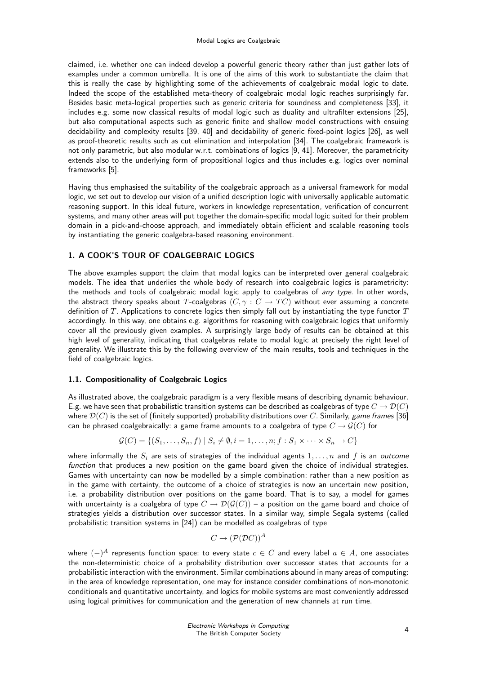claimed, i.e. whether one can indeed develop a powerful generic theory rather than just gather lots of examples under a common umbrella. It is one of the aims of this work to substantiate the claim that this is really the case by highlighting some of the achievements of coalgebraic modal logic to date. Indeed the scope of the established meta-theory of coalgebraic modal logic reaches surprisingly far. Besides basic meta-logical properties such as generic criteria for soundness and completeness [33], it includes e.g. some now classical results of modal logic such as duality and ultrafilter extensions [25], but also computational aspects such as generic finite and shallow model constructions with ensuing decidability and complexity results [39, 40] and decidability of generic fixed-point logics [26], as well as proof-theoretic results such as cut elimination and interpolation [34]. The coalgebraic framework is not only parametric, but also modular w.r.t. combinations of logics [9, 41]. Moreover, the parametricity extends also to the underlying form of propositional logics and thus includes e.g. logics over nominal frameworks [5].

Having thus emphasised the suitability of the coalgebraic approach as a universal framework for modal logic, we set out to develop our vision of a unified description logic with universally applicable automatic reasoning support. In this ideal future, workers in knowledge representation, verification of concurrent systems, and many other areas will put together the domain-specific modal logic suited for their problem domain in a pick-and-choose approach, and immediately obtain efficient and scalable reasoning tools by instantiating the generic coalgebra-based reasoning environment.

## 1. A COOK'S TOUR OF COALGEBRAIC LOGICS

The above examples support the claim that modal logics can be interpreted over general coalgebraic models. The idea that underlies the whole body of research into coalgebraic logics is parametricity: the methods and tools of coalgebraic modal logic apply to coalgebras of any type. In other words, the abstract theory speaks about T-coalgebras  $(C, \gamma : C \to TC)$  without ever assuming a concrete definition of  $T$ . Applications to concrete logics then simply fall out by instantiating the type functor  $T$ accordingly. In this way, one obtains e.g. algorithms for reasoning with coalgebraic logics that uniformly cover all the previously given examples. A surprisingly large body of results can be obtained at this high level of generality, indicating that coalgebras relate to modal logic at precisely the right level of generality. We illustrate this by the following overview of the main results, tools and techniques in the field of coalgebraic logics.

#### 1.1. Compositionality of Coalgebraic Logics

As illustrated above, the coalgebraic paradigm is a very flexible means of describing dynamic behaviour. E.g. we have seen that probabilistic transition systems can be described as coalgebras of type  $C \to \mathcal{D}(C)$ where  $\mathcal{D}(C)$  is the set of (finitely supported) probability distributions over C. Similarly, game frames [36] can be phrased coalgebraically: a game frame amounts to a coalgebra of type  $C \rightarrow \mathcal{G}(C)$  for

$$
\mathcal{G}(C) = \{ (S_1, \ldots, S_n, f) \mid S_i \neq \emptyset, i = 1, \ldots, n; f : S_1 \times \cdots \times S_n \to C \}
$$

where informally the  $S_i$  are sets of strategies of the individual agents  $1, \ldots, n$  and f is an outcome function that produces a new position on the game board given the choice of individual strategies. Games with uncertainty can now be modelled by a simple combination: rather than a new position as in the game with certainty, the outcome of a choice of strategies is now an uncertain new position, i.e. a probability distribution over positions on the game board. That is to say, a model for games with uncertainty is a coalgebra of type  $C \to \mathcal{D}(\mathcal{G}(C))$  – a position on the game board and choice of strategies yields a distribution over successor states. In a similar way, simple Segala systems (called probabilistic transition systems in [24]) can be modelled as coalgebras of type

$$
C \to (\mathcal{P}(\mathcal{D}C))^A
$$

where  $(-)^A$  represents function space: to every state  $c \in C$  and every label  $a \in A,$  one associates the non-deterministic choice of a probability distribution over successor states that accounts for a probabilistic interaction with the environment. Similar combinations abound in many areas of computing: in the area of knowledge representation, one may for instance consider combinations of non-monotonic conditionals and quantitative uncertainty, and logics for mobile systems are most conveniently addressed using logical primitives for communication and the generation of new channels at run time.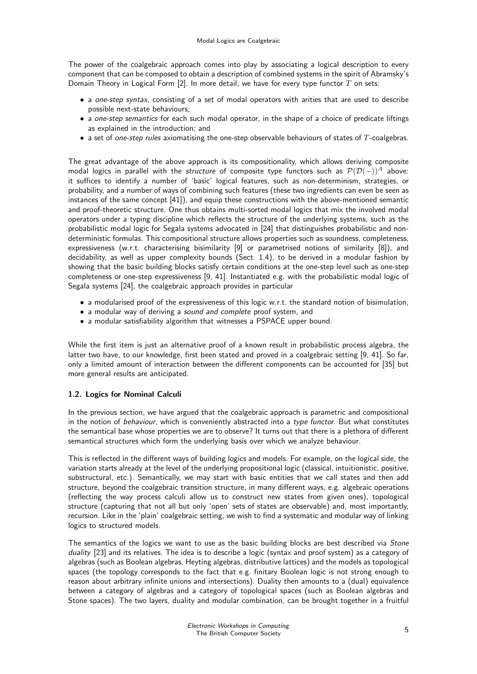The power of the coalgebraic approach comes into play by associating a logical description to every component that can be composed to obtain a description of combined systems in the spirit of Abramsky's Domain Theory in Logical Form  $[2]$ . In more detail, we have for every type functor  $T$  on sets:

- a one-step syntax, consisting of a set of modal operators with arities that are used to describe possible next-state behaviours;
- a one-step semantics for each such modal operator, in the shape of a choice of predicate liftings as explained in the introduction; and
- $\bullet$  a set of one-step rules axiomatising the one-step observable behaviours of states of  $T$ -coalgebras.

The great advantage of the above approach is its compositionality, which allows deriving composite modal logics in parallel with the *structure* of composite type functors such as  $\mathcal{P}(\mathcal{D}(-))^A$  above: it suffices to identify a number of 'basic' logical features, such as non-determinism, strategies, or probability, and a number of ways of combining such features (these two ingredients can even be seen as instances of the same concept [41]), and equip these constructions with the above-mentioned semantic and proof-theoretic structure. One thus obtains multi-sorted modal logics that mix the involved modal operators under a typing discipline which reflects the structure of the underlying systems, such as the probabilistic modal logic for Segala systems advocated in [24] that distinguishes probabilistic and nondeterministic formulas. This compositional structure allows properties such as soundness, completeness, expressiveness (w.r.t. characterising bisimilarity [9] or parametrised notions of similarity [8]), and decidability, as well as upper complexity bounds (Sect. 1.4), to be derived in a modular fashion by showing that the basic building blocks satisfy certain conditions at the one-step level such as one-step completeness or one-step expressiveness [9, 41]. Instantiated e.g. with the probabilistic modal logic of Segala systems [24], the coalgebraic approach provides in particular

- a modularised proof of the expressiveness of this logic w.r.t. the standard notion of bisimulation,
- a modular way of deriving a sound and complete proof system, and
- a modular satisfiability algorithm that witnesses a PSPACE upper bound.

While the first item is just an alternative proof of a known result in probabilistic process algebra, the latter two have, to our knowledge, first been stated and proved in a coalgebraic setting [9, 41]. So far, only a limited amount of interaction between the different components can be accounted for [35] but more general results are anticipated.

#### 1.2. Logics for Nominal Calculi

In the previous section, we have argued that the coalgebraic approach is parametric and compositional in the notion of behaviour, which is conveniently abstracted into a type functor. But what constitutes the semantical base whose properties we are to observe? It turns out that there is a plethora of different semantical structures which form the underlying basis over which we analyze behaviour.

This is reflected in the different ways of building logics and models. For example, on the logical side, the variation starts already at the level of the underlying propositional logic (classical, intuitionistic, positive, substructural, etc.). Semantically, we may start with basic entities that we call states and then add structure, beyond the coalgebraic transition structure, in many different ways, e.g. algebraic operations (reflecting the way process calculi allow us to construct new states from given ones), topological structure (capturing that not all but only 'open' sets of states are observable) and, most importantly, recursion. Like in the 'plain' coalgebraic setting, we wish to find a systematic and modular way of linking logics to structured models.

The semantics of the logics we want to use as the basic building blocks are best described via Stone duality [23] and its relatives. The idea is to describe a logic (syntax and proof system) as a category of algebras (such as Boolean algebras, Heyting algebras, distributive lattices) and the models as topological spaces (the topology corresponds to the fact that e.g. finitary Boolean logic is not strong enough to reason about arbitrary infinite unions and intersections). Duality then amounts to a (dual) equivalence between a category of algebras and a category of topological spaces (such as Boolean algebras and Stone spaces). The two layers, duality and modular combination, can be brought together in a fruitful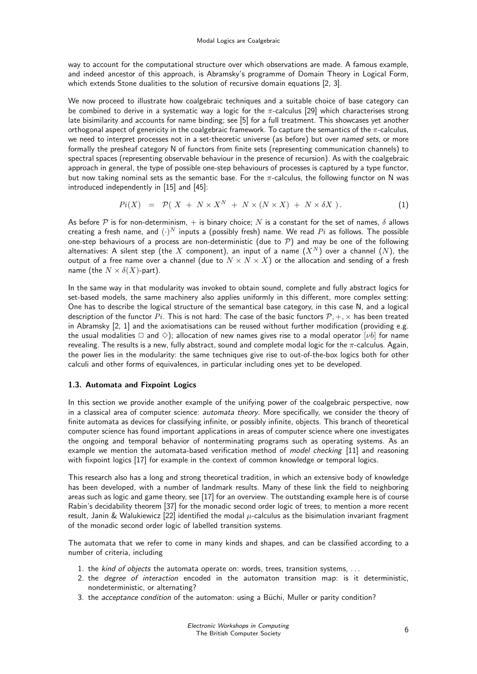way to account for the computational structure over which observations are made. A famous example, and indeed ancestor of this approach, is Abramsky's programme of Domain Theory in Logical Form, which extends Stone dualities to the solution of recursive domain equations [2, 3].

We now proceed to illustrate how coalgebraic techniques and a suitable choice of base category can be combined to derive in a systematic way a logic for the  $\pi$ -calculus [29] which characterises strong late bisimilarity and accounts for name binding; see [5] for a full treatment. This showcases yet another orthogonal aspect of genericity in the coalgebraic framework. To capture the semantics of the  $\pi$ -calculus, we need to interpret processes not in a set-theoretic universe (as before) but over named sets, or more formally the presheaf category N of functors from finite sets (representing communication channels) to spectral spaces (representing observable behaviour in the presence of recursion). As with the coalgebraic approach in general, the type of possible one-step behaviours of processes is captured by a type functor, but now taking nominal sets as the semantic base. For the  $\pi$ -calculus, the following functor on N was introduced independently in [15] and [45]:

$$
Pi(X) = \mathcal{P}(X + N \times X^N + N \times (N \times X) + N \times \delta X). \tag{1}
$$

As before  $\mathcal P$  is for non-determinism,  $+$  is binary choice; N is a constant for the set of names,  $\delta$  allows creating a fresh name, and  $(\cdot)^N$  inputs a (possibly fresh) name. We read  $Pi$  as follows. The possible one-step behaviours of a process are non-deterministic (due to  $P$ ) and may be one of the following alternatives: A silent step (the X component), an input of a name  $(X^N)$  over a channel  $(N)$ , the output of a free name over a channel (due to  $N \times N \times X$ ) or the allocation and sending of a fresh name (the  $N \times \delta(X)$ -part).

In the same way in that modularity was invoked to obtain sound, complete and fully abstract logics for set-based models, the same machinery also applies uniformly in this different, more complex setting: One has to describe the logical structure of the semantical base category, in this case N, and a logical description of the functor  $Pi$ . This is not hard: The case of the basic functors  $\mathcal{P}, +, \times$  has been treated in Abramsky [2, 1] and the axiomatisations can be reused without further modification (providing e.g. the usual modalities  $\Box$  and  $\diamond$ ); allocation of new names gives rise to a modal operator  $[\nu b]$  for name revealing. The results is a new, fully abstract, sound and complete modal logic for the  $\pi$ -calculus. Again, the power lies in the modularity: the same techniques give rise to out-of-the-box logics both for other calculi and other forms of equivalences, in particular including ones yet to be developed.

#### 1.3. Automata and Fixpoint Logics

In this section we provide another example of the unifying power of the coalgebraic perspective, now in a classical area of computer science: *automata theory*. More specifically, we consider the theory of finite automata as devices for classifying infinite, or possibly infinite, objects. This branch of theoretical computer science has found important applications in areas of computer science where one investigates the ongoing and temporal behavior of nonterminating programs such as operating systems. As an example we mention the automata-based verification method of *model checking* [11] and reasoning with fixpoint logics [17] for example in the context of common knowledge or temporal logics.

This research also has a long and strong theoretical tradition, in which an extensive body of knowledge has been developed, with a number of landmark results. Many of these link the field to neighboring areas such as logic and game theory, see [17] for an overview. The outstanding example here is of course Rabin's decidability theorem [37] for the monadic second order logic of trees; to mention a more recent result, Janin & Walukiewicz [22] identified the modal  $\mu$ -calculus as the bisimulation invariant fragment of the monadic second order logic of labelled transition systems.

The automata that we refer to come in many kinds and shapes, and can be classified according to a number of criteria, including

- 1. the kind of objects the automata operate on: words, trees, transition systems, ...
- 2. the degree of interaction encoded in the automaton transition map: is it deterministic, nondeterministic, or alternating?
- 3. the *acceptance condition* of the automaton: using a Büchi, Muller or parity condition?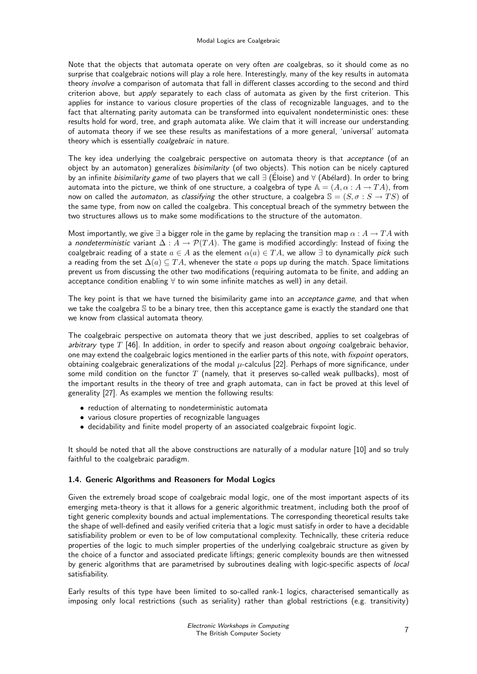Note that the objects that automata operate on very often are coalgebras, so it should come as no surprise that coalgebraic notions will play a role here. Interestingly, many of the key results in automata theory involve a comparison of automata that fall in different classes according to the second and third criterion above, but apply separately to each class of automata as given by the first criterion. This applies for instance to various closure properties of the class of recognizable languages, and to the fact that alternating parity automata can be transformed into equivalent nondeterministic ones: these results hold for word, tree, and graph automata alike. We claim that it will increase our understanding of automata theory if we see these results as manifestations of a more general, 'universal' automata theory which is essentially coalgebraic in nature.

The key idea underlying the coalgebraic perspective on automata theory is that *acceptance* (of an object by an automaton) generalizes *bisimilarity* (of two objects). This notion can be nicely captured by an infinite *bisimilarity game* of two players that we call ∃ (Eloise) and ∀ (Abélard). In order to bring automata into the picture, we think of one structure, a coalgebra of type  $\mathbb{A} = (A, \alpha : A \to TA)$ , from now on called the *automaton*, as *classifying* the other structure, a coalgebra  $\mathbb{S} = (S, \sigma : S \to TS)$  of the same type, from now on called the coalgebra. This conceptual breach of the symmetry between the two structures allows us to make some modifications to the structure of the automaton.

Most importantly, we give  $\exists$  a bigger role in the game by replacing the transition map  $\alpha : A \to TA$  with a nondeterministic variant  $\Delta: A \to \mathcal{P}(TA)$ . The game is modified accordingly: Instead of fixing the coalgebraic reading of a state  $a \in A$  as the element  $\alpha(a) \in TA$ , we allow  $\exists$  to dynamically *pick* such a reading from the set  $\Delta(a) \subseteq TA$ , whenever the state a pops up during the match. Space limitations prevent us from discussing the other two modifications (requiring automata to be finite, and adding an acceptance condition enabling ∀ to win some infinite matches as well) in any detail.

The key point is that we have turned the bisimilarity game into an *acceptance game*, and that when we take the coalgebra S to be a binary tree, then this acceptance game is exactly the standard one that we know from classical automata theory.

The coalgebraic perspective on automata theory that we just described, applies to set coalgebras of arbitrary type  $T$  [46]. In addition, in order to specify and reason about *ongoing* coalgebraic behavior, one may extend the coalgebraic logics mentioned in the earlier parts of this note, with *fixpoint* operators, obtaining coalgebraic generalizations of the modal  $\mu$ -calculus [22]. Perhaps of more significance, under some mild condition on the functor  $T$  (namely, that it preserves so-called weak pullbacks), most of the important results in the theory of tree and graph automata, can in fact be proved at this level of generality [27]. As examples we mention the following results:

- reduction of alternating to nondeterministic automata
- various closure properties of recognizable languages
- decidability and finite model property of an associated coalgebraic fixpoint logic.

It should be noted that all the above constructions are naturally of a modular nature [10] and so truly faithful to the coalgebraic paradigm.

## 1.4. Generic Algorithms and Reasoners for Modal Logics

Given the extremely broad scope of coalgebraic modal logic, one of the most important aspects of its emerging meta-theory is that it allows for a generic algorithmic treatment, including both the proof of tight generic complexity bounds and actual implementations. The corresponding theoretical results take the shape of well-defined and easily verified criteria that a logic must satisfy in order to have a decidable satisfiability problem or even to be of low computational complexity. Technically, these criteria reduce properties of the logic to much simpler properties of the underlying coalgebraic structure as given by the choice of a functor and associated predicate liftings; generic complexity bounds are then witnessed by generic algorithms that are parametrised by subroutines dealing with logic-specific aspects of local satisfiability.

Early results of this type have been limited to so-called rank-1 logics, characterised semantically as imposing only local restrictions (such as seriality) rather than global restrictions (e.g. transitivity)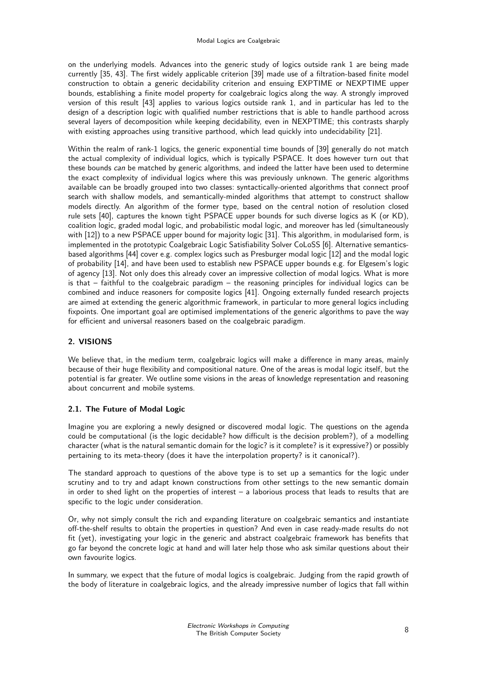on the underlying models. Advances into the generic study of logics outside rank 1 are being made currently [35, 43]. The first widely applicable criterion [39] made use of a filtration-based finite model construction to obtain a generic decidability criterion and ensuing EXPTIME or NEXPTIME upper bounds, establishing a finite model property for coalgebraic logics along the way. A strongly improved version of this result [43] applies to various logics outside rank 1, and in particular has led to the design of a description logic with qualified number restrictions that is able to handle parthood across several layers of decomposition while keeping decidability, even in NEXPTIME; this contrasts sharply with existing approaches using transitive parthood, which lead quickly into undecidability [21].

Within the realm of rank-1 logics, the generic exponential time bounds of [39] generally do not match the actual complexity of individual logics, which is typically PSPACE. It does however turn out that these bounds can be matched by generic algorithms, and indeed the latter have been used to determine the exact complexity of individual logics where this was previously unknown. The generic algorithms available can be broadly grouped into two classes: syntactically-oriented algorithms that connect proof search with shallow models, and semantically-minded algorithms that attempt to construct shallow models directly. An algorithm of the former type, based on the central notion of resolution closed rule sets [40], captures the known tight PSPACE upper bounds for such diverse logics as K (or KD), coalition logic, graded modal logic, and probabilistic modal logic, and moreover has led (simultaneously with [12]) to a new PSPACE upper bound for majority logic [31]. This algorithm, in modularised form, is implemented in the prototypic Coalgebraic Logic Satisfiability Solver CoLoSS [6]. Alternative semanticsbased algorithms [44] cover e.g. complex logics such as Presburger modal logic [12] and the modal logic of probability [14], and have been used to establish new PSPACE upper bounds e.g. for Elgesem's logic of agency [13]. Not only does this already cover an impressive collection of modal logics. What is more is that – faithful to the coalgebraic paradigm – the reasoning principles for individual logics can be combined and induce reasoners for composite logics [41]. Ongoing externally funded research projects are aimed at extending the generic algorithmic framework, in particular to more general logics including fixpoints. One important goal are optimised implementations of the generic algorithms to pave the way for efficient and universal reasoners based on the coalgebraic paradigm.

## 2. VISIONS

We believe that, in the medium term, coalgebraic logics will make a difference in many areas, mainly because of their huge flexibility and compositional nature. One of the areas is modal logic itself, but the potential is far greater. We outline some visions in the areas of knowledge representation and reasoning about concurrent and mobile systems.

## 2.1. The Future of Modal Logic

Imagine you are exploring a newly designed or discovered modal logic. The questions on the agenda could be computational (is the logic decidable? how difficult is the decision problem?), of a modelling character (what is the natural semantic domain for the logic? is it complete? is it expressive?) or possibly pertaining to its meta-theory (does it have the interpolation property? is it canonical?).

The standard approach to questions of the above type is to set up a semantics for the logic under scrutiny and to try and adapt known constructions from other settings to the new semantic domain in order to shed light on the properties of interest – a laborious process that leads to results that are specific to the logic under consideration.

Or, why not simply consult the rich and expanding literature on coalgebraic semantics and instantiate off-the-shelf results to obtain the properties in question? And even in case ready-made results do not fit (yet), investigating your logic in the generic and abstract coalgebraic framework has benefits that go far beyond the concrete logic at hand and will later help those who ask similar questions about their own favourite logics.

In summary, we expect that the future of modal logics is coalgebraic. Judging from the rapid growth of the body of literature in coalgebraic logics, and the already impressive number of logics that fall within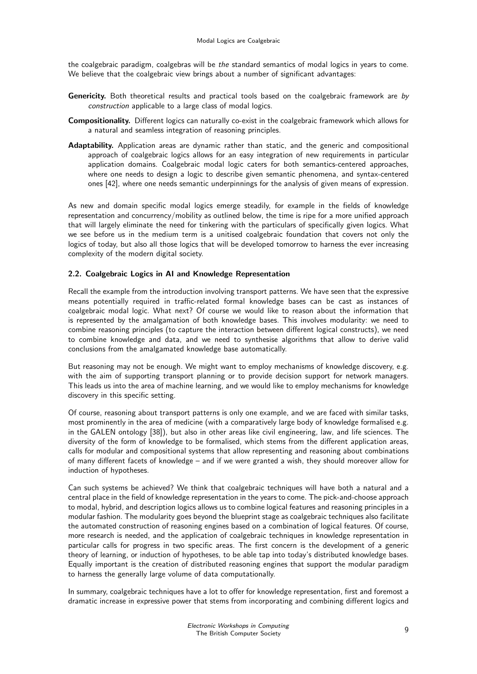the coalgebraic paradigm, coalgebras will be the standard semantics of modal logics in years to come. We believe that the coalgebraic view brings about a number of significant advantages:

- Genericity. Both theoretical results and practical tools based on the coalgebraic framework are by construction applicable to a large class of modal logics.
- Compositionality. Different logics can naturally co-exist in the coalgebraic framework which allows for a natural and seamless integration of reasoning principles.
- Adaptability. Application areas are dynamic rather than static, and the generic and compositional approach of coalgebraic logics allows for an easy integration of new requirements in particular application domains. Coalgebraic modal logic caters for both semantics-centered approaches, where one needs to design a logic to describe given semantic phenomena, and syntax-centered ones [42], where one needs semantic underpinnings for the analysis of given means of expression.

As new and domain specific modal logics emerge steadily, for example in the fields of knowledge representation and concurrency/mobility as outlined below, the time is ripe for a more unified approach that will largely eliminate the need for tinkering with the particulars of specifically given logics. What we see before us in the medium term is a unitised coalgebraic foundation that covers not only the logics of today, but also all those logics that will be developed tomorrow to harness the ever increasing complexity of the modern digital society.

#### 2.2. Coalgebraic Logics in AI and Knowledge Representation

Recall the example from the introduction involving transport patterns. We have seen that the expressive means potentially required in traffic-related formal knowledge bases can be cast as instances of coalgebraic modal logic. What next? Of course we would like to reason about the information that is represented by the amalgamation of both knowledge bases. This involves modularity: we need to combine reasoning principles (to capture the interaction between different logical constructs), we need to combine knowledge and data, and we need to synthesise algorithms that allow to derive valid conclusions from the amalgamated knowledge base automatically.

But reasoning may not be enough. We might want to employ mechanisms of knowledge discovery, e.g. with the aim of supporting transport planning or to provide decision support for network managers. This leads us into the area of machine learning, and we would like to employ mechanisms for knowledge discovery in this specific setting.

Of course, reasoning about transport patterns is only one example, and we are faced with similar tasks, most prominently in the area of medicine (with a comparatively large body of knowledge formalised e.g. in the GALEN ontology [38]), but also in other areas like civil engineering, law, and life sciences. The diversity of the form of knowledge to be formalised, which stems from the different application areas, calls for modular and compositional systems that allow representing and reasoning about combinations of many different facets of knowledge – and if we were granted a wish, they should moreover allow for induction of hypotheses.

Can such systems be achieved? We think that coalgebraic techniques will have both a natural and a central place in the field of knowledge representation in the years to come. The pick-and-choose approach to modal, hybrid, and description logics allows us to combine logical features and reasoning principles in a modular fashion. The modularity goes beyond the blueprint stage as coalgebraic techniques also facilitate the automated construction of reasoning engines based on a combination of logical features. Of course, more research is needed, and the application of coalgebraic techniques in knowledge representation in particular calls for progress in two specific areas. The first concern is the development of a generic theory of learning, or induction of hypotheses, to be able tap into today's distributed knowledge bases. Equally important is the creation of distributed reasoning engines that support the modular paradigm to harness the generally large volume of data computationally.

In summary, coalgebraic techniques have a lot to offer for knowledge representation, first and foremost a dramatic increase in expressive power that stems from incorporating and combining different logics and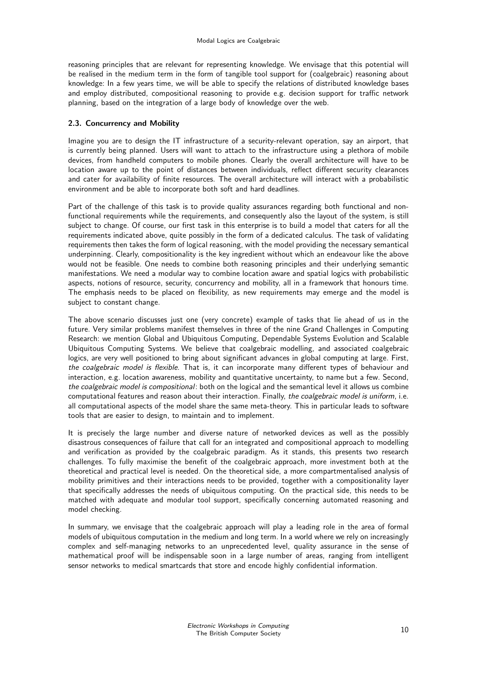reasoning principles that are relevant for representing knowledge. We envisage that this potential will be realised in the medium term in the form of tangible tool support for (coalgebraic) reasoning about knowledge: In a few years time, we will be able to specify the relations of distributed knowledge bases and employ distributed, compositional reasoning to provide e.g. decision support for traffic network planning, based on the integration of a large body of knowledge over the web.

## 2.3. Concurrency and Mobility

Imagine you are to design the IT infrastructure of a security-relevant operation, say an airport, that is currently being planned. Users will want to attach to the infrastructure using a plethora of mobile devices, from handheld computers to mobile phones. Clearly the overall architecture will have to be location aware up to the point of distances between individuals, reflect different security clearances and cater for availability of finite resources. The overall architecture will interact with a probabilistic environment and be able to incorporate both soft and hard deadlines.

Part of the challenge of this task is to provide quality assurances regarding both functional and nonfunctional requirements while the requirements, and consequently also the layout of the system, is still subject to change. Of course, our first task in this enterprise is to build a model that caters for all the requirements indicated above, quite possibly in the form of a dedicated calculus. The task of validating requirements then takes the form of logical reasoning, with the model providing the necessary semantical underpinning. Clearly, compositionality is the key ingredient without which an endeavour like the above would not be feasible. One needs to combine both reasoning principles and their underlying semantic manifestations. We need a modular way to combine location aware and spatial logics with probabilistic aspects, notions of resource, security, concurrency and mobility, all in a framework that honours time. The emphasis needs to be placed on flexibility, as new requirements may emerge and the model is subject to constant change.

The above scenario discusses just one (very concrete) example of tasks that lie ahead of us in the future. Very similar problems manifest themselves in three of the nine Grand Challenges in Computing Research: we mention Global and Ubiquitous Computing, Dependable Systems Evolution and Scalable Ubiquitous Computing Systems. We believe that coalgebraic modelling, and associated coalgebraic logics, are very well positioned to bring about significant advances in global computing at large. First, the coalgebraic model is flexible. That is, it can incorporate many different types of behaviour and interaction, e.g. location awareness, mobility and quantitative uncertainty, to name but a few. Second, the coalgebraic model is compositional: both on the logical and the semantical level it allows us combine computational features and reason about their interaction. Finally, the coalgebraic model is uniform, i.e. all computational aspects of the model share the same meta-theory. This in particular leads to software tools that are easier to design, to maintain and to implement.

It is precisely the large number and diverse nature of networked devices as well as the possibly disastrous consequences of failure that call for an integrated and compositional approach to modelling and verification as provided by the coalgebraic paradigm. As it stands, this presents two research challenges. To fully maximise the benefit of the coalgebraic approach, more investment both at the theoretical and practical level is needed. On the theoretical side, a more compartmentalised analysis of mobility primitives and their interactions needs to be provided, together with a compositionality layer that specifically addresses the needs of ubiquitous computing. On the practical side, this needs to be matched with adequate and modular tool support, specifically concerning automated reasoning and model checking.

In summary, we envisage that the coalgebraic approach will play a leading role in the area of formal models of ubiquitous computation in the medium and long term. In a world where we rely on increasingly complex and self-managing networks to an unprecedented level, quality assurance in the sense of mathematical proof will be indispensable soon in a large number of areas, ranging from intelligent sensor networks to medical smartcards that store and encode highly confidential information.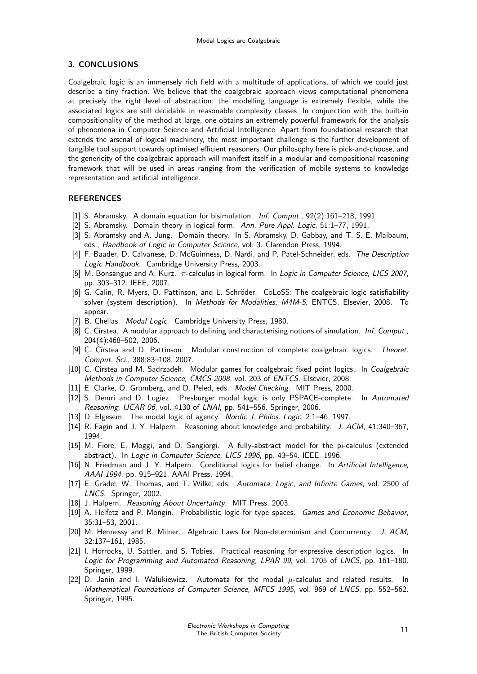#### 3. CONCLUSIONS

Coalgebraic logic is an immensely rich field with a multitude of applications, of which we could just describe a tiny fraction. We believe that the coalgebraic approach views computational phenomena at precisely the right level of abstraction: the modelling language is extremely flexible, while the associated logics are still decidable in reasonable complexity classes. In conjunction with the built-in compositionality of the method at large, one obtains an extremely powerful framework for the analysis of phenomena in Computer Science and Artificial Intelligence. Apart from foundational research that extends the arsenal of logical machinery, the most important challenge is the further development of tangible tool support towards optimised efficient reasoners. Our philosophy here is pick-and-choose, and the genericity of the coalgebraic approach will manifest itself in a modular and compositional reasoning framework that will be used in areas ranging from the verification of mobile systems to knowledge representation and artificial intelligence.

#### **REFERENCES**

- [1] S. Abramsky. A domain equation for bisimulation. Inf. Comput., 92(2):161–218, 1991.
- [2] S. Abramsky. Domain theory in logical form. Ann. Pure Appl. Logic, 51:1–77, 1991.
- [3] S. Abramsky and A. Jung. Domain theory. In S. Abramsky, D. Gabbay, and T. S. E. Maibaum, eds., Handbook of Logic in Computer Science, vol. 3. Clarendon Press, 1994.
- [4] F. Baader, D. Calvanese, D. McGuinness, D. Nardi, and P. Patel-Schneider, eds. The Description Logic Handbook. Cambridge University Press, 2003.
- [5] M. Bonsangue and A. Kurz. π-calculus in logical form. In Logic in Computer Science, LICS 2007, pp. 303–312. IEEE, 2007.
- [6] G. Calin, R. Myers, D. Pattinson, and L. Schröder. CoLoSS: The coalgebraic logic satisfiability solver (system description). In Methods for Modalities, M4M-5, ENTCS. Elsevier, 2008. To appear.
- [7] B. Chellas. Modal Logic. Cambridge University Press, 1980.
- [8] C. Cîrstea. A modular approach to defining and characterising notions of simulation. Inf. Comput., 204(4):468–502, 2006.
- [9] C. Cîrstea and D. Pattinson. Modular construction of complete coalgebraic logics. Theoret. Comput. Sci., 388:83–108, 2007.
- [10] C. Cîrstea and M. Sadrzadeh. Modular games for coalgebraic fixed point logics. In Coalgebraic Methods in Computer Science, CMCS 2008, vol. 203 of ENTCS. Elsevier, 2008.
- [11] E. Clarke, O. Grumberg, and D. Peled, eds. Model Checking. MIT Press, 2000.
- [12] S. Demri and D. Lugiez. Presburger modal logic is only PSPACE-complete. In Automated Reasoning, IJCAR 06, vol. 4130 of LNAI, pp. 541-556. Springer, 2006.
- [13] D. Elgesem. The modal logic of agency. Nordic J. Philos. Logic, 2:1–46, 1997.
- [14] R. Fagin and J. Y. Halpern. Reasoning about knowledge and probability. J. ACM, 41:340–367, 1994.
- [15] M. Fiore, E. Moggi, and D. Sangiorgi. A fully-abstract model for the pi-calculus (extended abstract). In Logic in Computer Science, LICS 1996, pp. 43–54. IEEE, 1996.
- [16] N. Friedman and J. Y. Halpern. Conditional logics for belief change. In Artificial Intelligence, AAAI 1994, pp. 915–921. AAAI Press, 1994.
- [17] E. Grädel, W. Thomas, and T. Wilke, eds. Automata, Logic, and Infinite Games, vol. 2500 of LNCS. Springer, 2002.
- [18] J. Halpern. Reasoning About Uncertainty. MIT Press, 2003.
- [19] A. Heifetz and P. Mongin. Probabilistic logic for type spaces. Games and Economic Behavior, 35:31–53, 2001.
- [20] M. Hennessy and R. Milner. Algebraic Laws for Non-determinism and Concurrency. J. ACM, 32:137–161, 1985.
- [21] I. Horrocks, U. Sattler, and S. Tobies. Practical reasoning for expressive description logics. In Logic for Programming and Automated Reasoning, LPAR 99, vol. 1705 of LNCS, pp. 161–180. Springer, 1999.
- [22] D. Janin and I. Walukiewicz. Automata for the modal  $\mu$ -calculus and related results. In Mathematical Foundations of Computer Science, MFCS 1995, vol. 969 of LNCS, pp. 552–562. Springer, 1995.